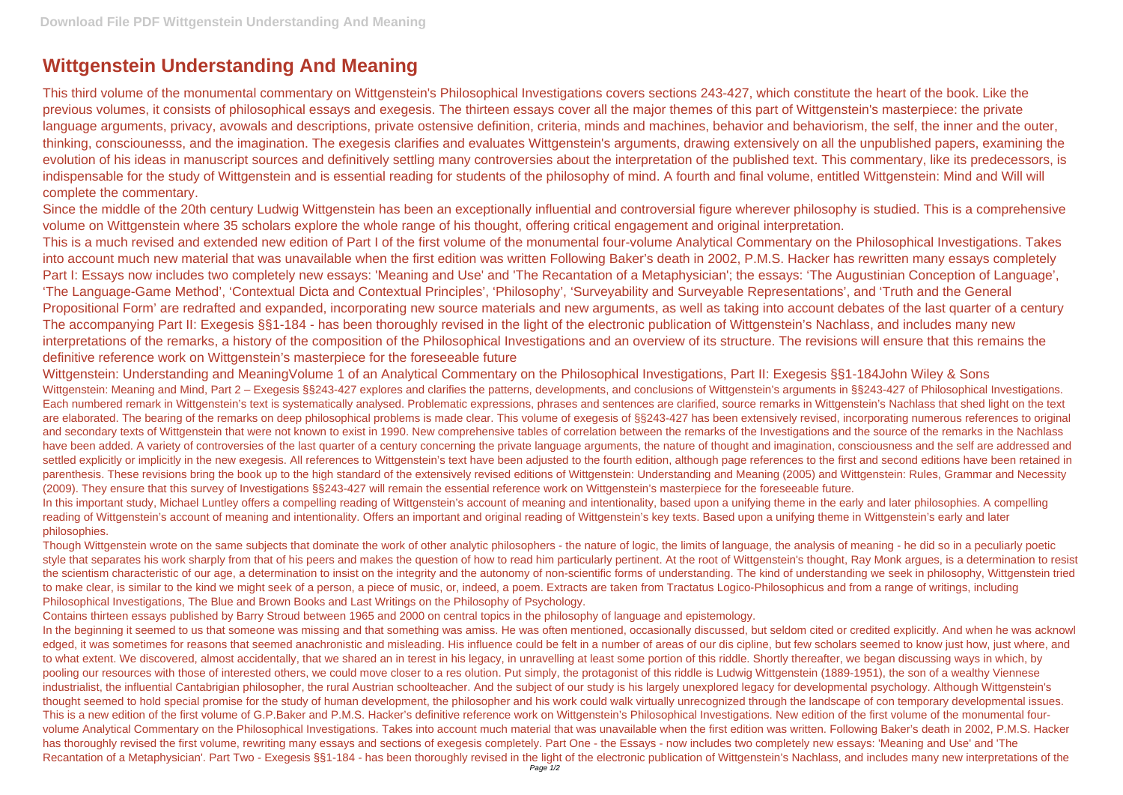## **Wittgenstein Understanding And Meaning**

This third volume of the monumental commentary on Wittgenstein's Philosophical Investigations covers sections 243-427, which constitute the heart of the book. Like the previous volumes, it consists of philosophical essays and exegesis. The thirteen essays cover all the major themes of this part of Wittgenstein's masterpiece: the private language arguments, privacy, avowals and descriptions, private ostensive definition, criteria, minds and machines, behavior and behaviorism, the self, the inner and the outer, thinking, consciounesss, and the imagination. The exegesis clarifies and evaluates Wittgenstein's arguments, drawing extensively on all the unpublished papers, examining the evolution of his ideas in manuscript sources and definitively settling many controversies about the interpretation of the published text. This commentary, like its predecessors, is indispensable for the study of Wittgenstein and is essential reading for students of the philosophy of mind. A fourth and final volume, entitled Wittgenstein: Mind and Will will complete the commentary.

Since the middle of the 20th century Ludwig Wittgenstein has been an exceptionally influential and controversial figure wherever philosophy is studied. This is a comprehensive volume on Wittgenstein where 35 scholars explore the whole range of his thought, offering critical engagement and original interpretation. This is a much revised and extended new edition of Part I of the first volume of the monumental four-volume Analytical Commentary on the Philosophical Investigations. Takes into account much new material that was unavailable when the first edition was written Following Baker's death in 2002, P.M.S. Hacker has rewritten many essays completely Part I: Essays now includes two completely new essays: 'Meaning and Use' and 'The Recantation of a Metaphysician'; the essays: 'The Augustinian Conception of Language', 'The Language-Game Method', 'Contextual Dicta and Contextual Principles', 'Philosophy', 'Surveyability and Surveyable Representations', and 'Truth and the General Propositional Form' are redrafted and expanded, incorporating new source materials and new arguments, as well as taking into account debates of the last quarter of a century The accompanying Part II: Exegesis §§1-184 - has been thoroughly revised in the light of the electronic publication of Wittgenstein's Nachlass, and includes many new interpretations of the remarks, a history of the composition of the Philosophical Investigations and an overview of its structure. The revisions will ensure that this remains the definitive reference work on Wittgenstein's masterpiece for the foreseeable future

Wittgenstein: Understanding and MeaningVolume 1 of an Analytical Commentary on the Philosophical Investigations, Part II: Exegesis §§1-184John Wiley & Sons Wittgenstein: Meaning and Mind, Part 2 – Exegesis §§243-427 explores and clarifies the patterns, developments, and conclusions of Wittgenstein's arguments in §§243-427 of Philosophical Investigations. Each numbered remark in Wittgenstein's text is systematically analysed. Problematic expressions, phrases and sentences are clarified, source remarks in Wittgenstein's Nachlass that shed light on the text are elaborated. The bearing of the remarks on deep philosophical problems is made clear. This volume of exegesis of §§243-427 has been extensively revised, incorporating numerous references to original and secondary texts of Wittgenstein that were not known to exist in 1990. New comprehensive tables of correlation between the remarks of the Investigations and the source of the remarks in the Nachlass have been added. A variety of controversies of the last quarter of a century concerning the private language arguments, the nature of thought and imagination, consciousness and the self are addressed and settled explicitly or implicitly in the new exegesis. All references to Wittgenstein's text have been adjusted to the fourth edition, although page references to the first and second editions have been retained in parenthesis. These revisions bring the book up to the high standard of the extensively revised editions of Wittgenstein: Understanding and Meaning (2005) and Wittgenstein: Rules, Grammar and Necessity (2009). They ensure that this survey of Investigations §§243-427 will remain the essential reference work on Wittgenstein's masterpiece for the foreseeable future. In this important study, Michael Luntley offers a compelling reading of Wittgenstein's account of meaning and intentionality, based upon a unifying theme in the early and later philosophies. A compelling reading of Wittgenstein's account of meaning and intentionality. Offers an important and original reading of Wittgenstein's key texts. Based upon a unifying theme in Wittgenstein's early and later philosophies.

In the beginning it seemed to us that someone was missing and that something was amiss. He was often mentioned, occasionally discussed, but seldom cited or credited explicitly. And when he was acknowl edged, it was sometimes for reasons that seemed anachronistic and misleading. His influence could be felt in a number of areas of our dis cipline, but few scholars seemed to know just how, just where, and to what extent. We discovered, almost accidentally, that we shared an in terest in his legacy, in unravelling at least some portion of this riddle. Shortly thereafter, we began discussing ways in which, by pooling our resources with those of interested others, we could move closer to a res olution. Put simply, the protagonist of this riddle is Ludwig Wittgenstein (1889-1951), the son of a wealthy Viennese industrialist, the influential Cantabrigian philosopher, the rural Austrian schoolteacher. And the subject of our study is his largely unexplored legacy for developmental psychology. Although Wittgenstein's thought seemed to hold special promise for the study of human development, the philosopher and his work could walk virtually unrecognized through the landscape of con temporary developmental issues. This is a new edition of the first volume of G.P.Baker and P.M.S. Hacker's definitive reference work on Wittgenstein's Philosophical Investigations. New edition of the first volume of the monumental fourvolume Analytical Commentary on the Philosophical Investigations. Takes into account much material that was unavailable when the first edition was written. Following Baker's death in 2002, P.M.S. Hacker has thoroughly revised the first volume, rewriting many essays and sections of exegesis completely. Part One - the Essays - now includes two completely new essays: 'Meaning and Use' and 'The Recantation of a Metaphysician'. Part Two - Exegesis §§1-184 - has been thoroughly revised in the light of the electronic publication of Wittgenstein's Nachlass, and includes many new interpretations of the

Though Wittgenstein wrote on the same subjects that dominate the work of other analytic philosophers - the nature of logic, the limits of language, the analysis of meaning - he did so in a peculiarly poetic style that separates his work sharply from that of his peers and makes the question of how to read him particularly pertinent. At the root of Wittgenstein's thought, Ray Monk argues, is a determination to resist the scientism characteristic of our age, a determination to insist on the integrity and the autonomy of non-scientific forms of understanding. The kind of understanding we seek in philosophy, Wittgenstein tried to make clear, is similar to the kind we might seek of a person, a piece of music, or, indeed, a poem. Extracts are taken from Tractatus Logico-Philosophicus and from a range of writings, including Philosophical Investigations, The Blue and Brown Books and Last Writings on the Philosophy of Psychology.

Contains thirteen essays published by Barry Stroud between 1965 and 2000 on central topics in the philosophy of language and epistemology.